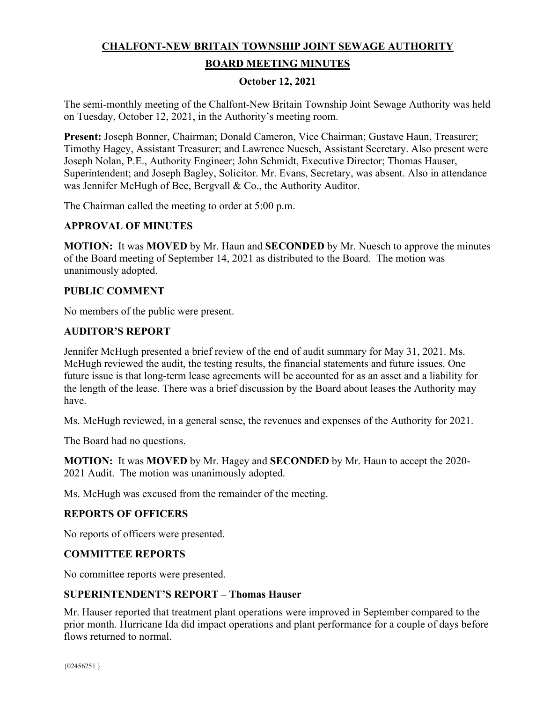# **CHALFONT-NEW BRITAIN TOWNSHIP JOINT SEWAGE AUTHORITY**

# **BOARD MEETING MINUTES**

# **October 12, 2021**

The semi-monthly meeting of the Chalfont-New Britain Township Joint Sewage Authority was held on Tuesday, October 12, 2021, in the Authority's meeting room.

**Present:** Joseph Bonner, Chairman; Donald Cameron, Vice Chairman; Gustave Haun, Treasurer; Timothy Hagey, Assistant Treasurer; and Lawrence Nuesch, Assistant Secretary. Also present were Joseph Nolan, P.E., Authority Engineer; John Schmidt, Executive Director; Thomas Hauser, Superintendent; and Joseph Bagley, Solicitor. Mr. Evans, Secretary, was absent. Also in attendance was Jennifer McHugh of Bee, Bergvall & Co., the Authority Auditor.

The Chairman called the meeting to order at 5:00 p.m.

# **APPROVAL OF MINUTES**

**MOTION:** It was **MOVED** by Mr. Haun and **SECONDED** by Mr. Nuesch to approve the minutes of the Board meeting of September 14, 2021 as distributed to the Board. The motion was unanimously adopted.

# **PUBLIC COMMENT**

No members of the public were present.

# **AUDITOR'S REPORT**

Jennifer McHugh presented a brief review of the end of audit summary for May 31, 2021. Ms. McHugh reviewed the audit, the testing results, the financial statements and future issues. One future issue is that long-term lease agreements will be accounted for as an asset and a liability for the length of the lease. There was a brief discussion by the Board about leases the Authority may have.

Ms. McHugh reviewed, in a general sense, the revenues and expenses of the Authority for 2021.

The Board had no questions.

**MOTION:** It was **MOVED** by Mr. Hagey and **SECONDED** by Mr. Haun to accept the 2020- 2021 Audit. The motion was unanimously adopted.

Ms. McHugh was excused from the remainder of the meeting.

# **REPORTS OF OFFICERS**

No reports of officers were presented.

#### **COMMITTEE REPORTS**

No committee reports were presented.

#### **SUPERINTENDENT'S REPORT – Thomas Hauser**

Mr. Hauser reported that treatment plant operations were improved in September compared to the prior month. Hurricane Ida did impact operations and plant performance for a couple of days before flows returned to normal.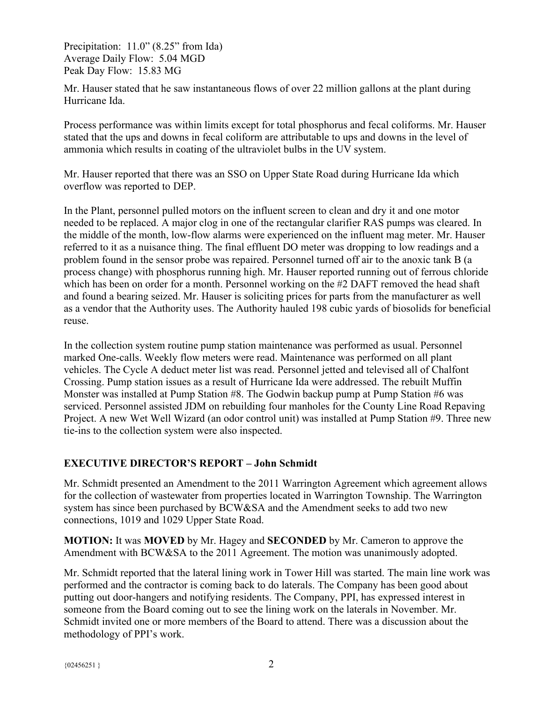Precipitation: 11.0" (8.25" from Ida) Average Daily Flow: 5.04 MGD Peak Day Flow: 15.83 MG

Mr. Hauser stated that he saw instantaneous flows of over 22 million gallons at the plant during Hurricane Ida.

Process performance was within limits except for total phosphorus and fecal coliforms. Mr. Hauser stated that the ups and downs in fecal coliform are attributable to ups and downs in the level of ammonia which results in coating of the ultraviolet bulbs in the UV system.

Mr. Hauser reported that there was an SSO on Upper State Road during Hurricane Ida which overflow was reported to DEP.

In the Plant, personnel pulled motors on the influent screen to clean and dry it and one motor needed to be replaced. A major clog in one of the rectangular clarifier RAS pumps was cleared. In the middle of the month, low-flow alarms were experienced on the influent mag meter. Mr. Hauser referred to it as a nuisance thing. The final effluent DO meter was dropping to low readings and a problem found in the sensor probe was repaired. Personnel turned off air to the anoxic tank B (a process change) with phosphorus running high. Mr. Hauser reported running out of ferrous chloride which has been on order for a month. Personnel working on the #2 DAFT removed the head shaft and found a bearing seized. Mr. Hauser is soliciting prices for parts from the manufacturer as well as a vendor that the Authority uses. The Authority hauled 198 cubic yards of biosolids for beneficial reuse.

In the collection system routine pump station maintenance was performed as usual. Personnel marked One-calls. Weekly flow meters were read. Maintenance was performed on all plant vehicles. The Cycle A deduct meter list was read. Personnel jetted and televised all of Chalfont Crossing. Pump station issues as a result of Hurricane Ida were addressed. The rebuilt Muffin Monster was installed at Pump Station #8. The Godwin backup pump at Pump Station #6 was serviced. Personnel assisted JDM on rebuilding four manholes for the County Line Road Repaving Project. A new Wet Well Wizard (an odor control unit) was installed at Pump Station #9. Three new tie-ins to the collection system were also inspected.

# **EXECUTIVE DIRECTOR'S REPORT – John Schmidt**

Mr. Schmidt presented an Amendment to the 2011 Warrington Agreement which agreement allows for the collection of wastewater from properties located in Warrington Township. The Warrington system has since been purchased by BCW&SA and the Amendment seeks to add two new connections, 1019 and 1029 Upper State Road.

**MOTION:** It was **MOVED** by Mr. Hagey and **SECONDED** by Mr. Cameron to approve the Amendment with BCW&SA to the 2011 Agreement. The motion was unanimously adopted.

Mr. Schmidt reported that the lateral lining work in Tower Hill was started. The main line work was performed and the contractor is coming back to do laterals. The Company has been good about putting out door-hangers and notifying residents. The Company, PPI, has expressed interest in someone from the Board coming out to see the lining work on the laterals in November. Mr. Schmidt invited one or more members of the Board to attend. There was a discussion about the methodology of PPI's work.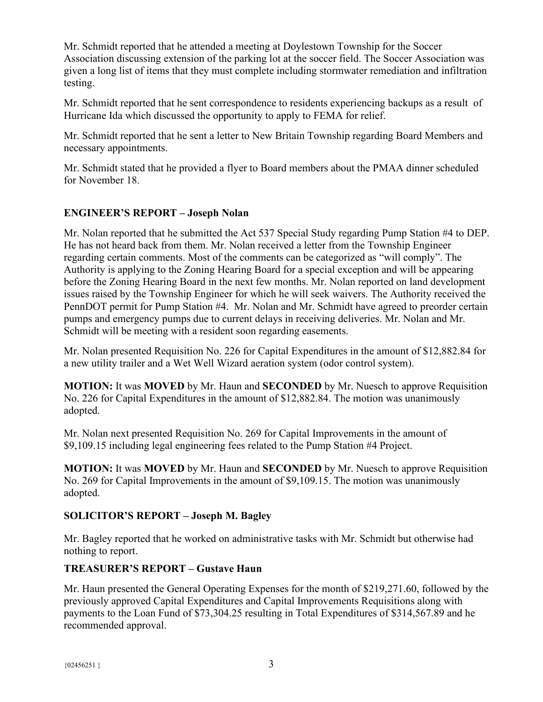Mr. Schmidt reported that he attended a meeting at Doylestown Township for the Soccer Association discussing extension of the parking lot at the soccer field. The Soccer Association was given a long list of items that they must complete including stormwater remediation and infiltration testing.

Mr. Schmidt reported that he sent correspondence to residents experiencing backups as a result of Hurricane Ida which discussed the opportunity to apply to FEMA for relief.

Mr. Schmidt reported that he sent a letter to New Britain Township regarding Board Members and necessary appointments.

Mr. Schmidt stated that he provided a flyer to Board members about the PMAA dinner scheduled for November 18.

# **ENGINEER'S REPORT – Joseph Nolan**

Mr. Nolan reported that he submitted the Act 537 Special Study regarding Pump Station #4 to DEP. He has not heard back from them. Mr. Nolan received a letter from the Township Engineer regarding certain comments. Most of the comments can be categorized as "will comply". The Authority is applying to the Zoning Hearing Board for a special exception and will be appearing before the Zoning Hearing Board in the next few months. Mr. Nolan reported on land development issues raised by the Township Engineer for which he will seek waivers. The Authority received the PennDOT permit for Pump Station #4. Mr. Nolan and Mr. Schmidt have agreed to preorder certain pumps and emergency pumps due to current delays in receiving deliveries. Mr. Nolan and Mr. Schmidt will be meeting with a resident soon regarding easements.

Mr. Nolan presented Requisition No. 226 for Capital Expenditures in the amount of \$12,882.84 for a new utility trailer and a Wet Well Wizard aeration system (odor control system).

**MOTION:** It was **MOVED** by Mr. Haun and **SECONDED** by Mr. Nuesch to approve Requisition No. 226 for Capital Expenditures in the amount of \$12,882.84. The motion was unanimously adopted.

Mr. Nolan next presented Requisition No. 269 for Capital Improvements in the amount of \$9,109.15 including legal engineering fees related to the Pump Station #4 Project.

**MOTION:** It was **MOVED** by Mr. Haun and **SECONDED** by Mr. Nuesch to approve Requisition No. 269 for Capital Improvements in the amount of \$9,109.15. The motion was unanimously adopted.

# **SOLICITOR'S REPORT – Joseph M. Bagley**

Mr. Bagley reported that he worked on administrative tasks with Mr. Schmidt but otherwise had nothing to report.

# **TREASURER'S REPORT – Gustave Haun**

Mr. Haun presented the General Operating Expenses for the month of \$219,271.60, followed by the previously approved Capital Expenditures and Capital Improvements Requisitions along with payments to the Loan Fund of \$73,304.25 resulting in Total Expenditures of \$314,567.89 and he recommended approval.